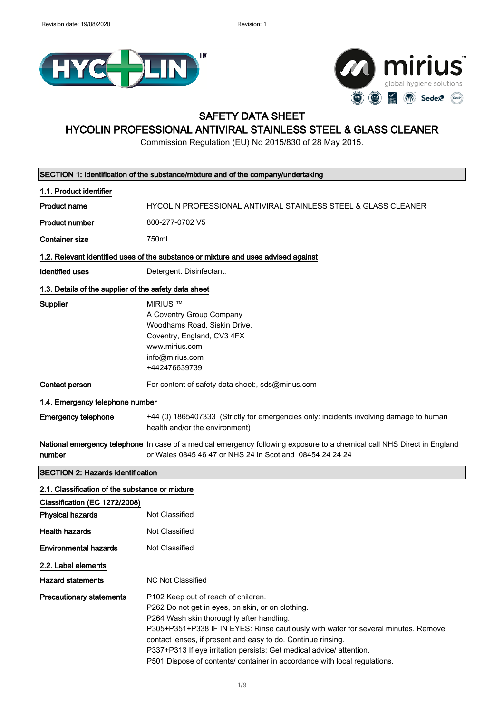



## SAFETY DATA SHEET

## HYCOLIN PROFESSIONAL ANTIVIRAL STAINLESS STEEL & GLASS CLEANER

Commission Regulation (EU) No 2015/830 of 28 May 2015.

| SECTION 1: Identification of the substance/mixture and of the company/undertaking |                                                                                                                                                                                                                                                                                                                                                                     |  |
|-----------------------------------------------------------------------------------|---------------------------------------------------------------------------------------------------------------------------------------------------------------------------------------------------------------------------------------------------------------------------------------------------------------------------------------------------------------------|--|
| 1.1. Product identifier                                                           |                                                                                                                                                                                                                                                                                                                                                                     |  |
| <b>Product name</b>                                                               | HYCOLIN PROFESSIONAL ANTIVIRAL STAINLESS STEEL & GLASS CLEANER                                                                                                                                                                                                                                                                                                      |  |
| <b>Product number</b>                                                             | 800-277-0702 V5                                                                                                                                                                                                                                                                                                                                                     |  |
| <b>Container size</b>                                                             | 750mL                                                                                                                                                                                                                                                                                                                                                               |  |
|                                                                                   | 1.2. Relevant identified uses of the substance or mixture and uses advised against                                                                                                                                                                                                                                                                                  |  |
| <b>Identified uses</b>                                                            | Detergent. Disinfectant.                                                                                                                                                                                                                                                                                                                                            |  |
| 1.3. Details of the supplier of the safety data sheet                             |                                                                                                                                                                                                                                                                                                                                                                     |  |
| Supplier                                                                          | <b>MIRIUS ™</b><br>A Coventry Group Company<br>Woodhams Road, Siskin Drive,<br>Coventry, England, CV3 4FX<br>www.mirius.com<br>info@mirius.com<br>+442476639739                                                                                                                                                                                                     |  |
| Contact person                                                                    | For content of safety data sheet:, sds@mirius.com                                                                                                                                                                                                                                                                                                                   |  |
| 1.4. Emergency telephone number                                                   |                                                                                                                                                                                                                                                                                                                                                                     |  |
| <b>Emergency telephone</b>                                                        | +44 (0) 1865407333 (Strictly for emergencies only: incidents involving damage to human<br>health and/or the environment)                                                                                                                                                                                                                                            |  |
| number                                                                            | National emergency telephone In case of a medical emergency following exposure to a chemical call NHS Direct in England<br>or Wales 0845 46 47 or NHS 24 in Scotland 08454 24 24 24                                                                                                                                                                                 |  |
| <b>SECTION 2: Hazards identification</b>                                          |                                                                                                                                                                                                                                                                                                                                                                     |  |
| 2.1. Classification of the substance or mixture                                   |                                                                                                                                                                                                                                                                                                                                                                     |  |
| Classification (EC 1272/2008)                                                     |                                                                                                                                                                                                                                                                                                                                                                     |  |
| <b>Physical hazards</b>                                                           | Not Classified                                                                                                                                                                                                                                                                                                                                                      |  |
| <b>Health hazards</b>                                                             | <b>Not Classified</b>                                                                                                                                                                                                                                                                                                                                               |  |
| <b>Environmental hazards</b>                                                      | Not Classified                                                                                                                                                                                                                                                                                                                                                      |  |
| 2.2. Label elements                                                               |                                                                                                                                                                                                                                                                                                                                                                     |  |
| <b>Hazard statements</b>                                                          | <b>NC Not Classified</b>                                                                                                                                                                                                                                                                                                                                            |  |
| <b>Precautionary statements</b>                                                   | P102 Keep out of reach of children.<br>P262 Do not get in eyes, on skin, or on clothing.<br>P264 Wash skin thoroughly after handling.<br>P305+P351+P338 IF IN EYES: Rinse cautiously with water for several minutes. Remove<br>contact lenses, if present and easy to do. Continue rinsing.<br>P337+P313 If eye irritation persists: Get medical advice/ attention. |  |

P501 Dispose of contents/ container in accordance with local regulations.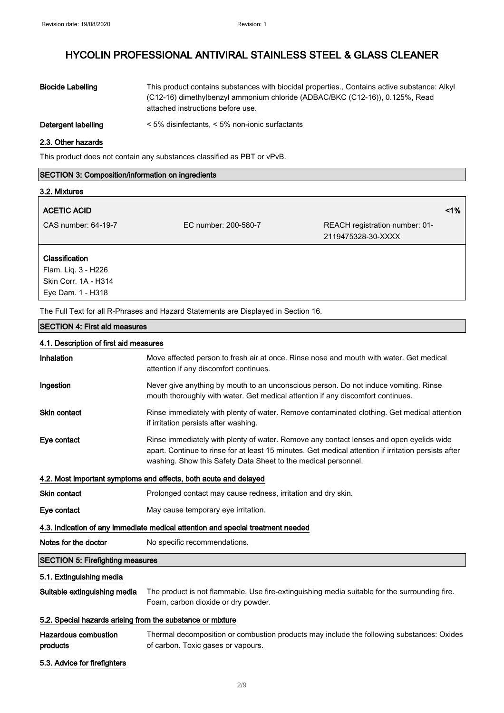| <b>Biocide Labelling</b> | This product contains substances with biocidal properties., Contains active substance: Alkyl<br>(C12-16) dimethylbenzyl ammonium chloride (ADBAC/BKC (C12-16)), 0.125%, Read<br>attached instructions before use. |
|--------------------------|-------------------------------------------------------------------------------------------------------------------------------------------------------------------------------------------------------------------|
| Detergent labelling      | $\leq$ 5% disinfectants, $\leq$ 5% non-ionic surfactants                                                                                                                                                          |

#### 2.3. Other hazards

This product does not contain any substances classified as PBT or vPvB.

### SECTION 3: Composition/information on ingredients

| 3.2. Mixtures                                                        |                      |                                                      |    |
|----------------------------------------------------------------------|----------------------|------------------------------------------------------|----|
| <b>ACETIC ACID</b>                                                   |                      |                                                      | 1% |
| CAS number: 64-19-7                                                  | EC number: 200-580-7 | REACH registration number: 01-<br>2119475328-30-XXXX |    |
| <b>Classification</b><br>Flam. Liq. 3 - H226<br>Skin Corr. 1A - H314 |                      |                                                      |    |

The Full Text for all R-Phrases and Hazard Statements are Displayed in Section 16.

#### SECTION 4: First aid measures

4.1. Description of first aid measures

Eye Dam. 1 - H318

| <b>Inhalation</b> | Move affected person to fresh air at once. Rinse nose and mouth with water. Get medic<br>attention if any discomfort continues. |
|-------------------|---------------------------------------------------------------------------------------------------------------------------------|
| In a <i>ation</i> | Novecano aputting by mouth to an unconscious person. Do not induce verniting Dinas                                              |

| mgesuon             | The very dive any tributh to an unconscious person. Do not mudde vornithing. Rinse          |
|---------------------|---------------------------------------------------------------------------------------------|
|                     | mouth thoroughly with water. Get medical attention if any discomfort continues.             |
| <b>Skin contact</b> | Rinse immediately with plenty of water. Remove contaminated clothing. Get medical attention |

if irritation persists after washing. Eye contact **Rinse immediately with plenty of water. Remove any contact lenses and open eyelids wide** apart. Continue to rinse for at least 15 minutes. Get medical attention if irritation persists after

washing. Show this Safety Data Sheet to the medical personnel.

# 4.2. Most important symptoms and effects, both acute and delayed

| <b>Skin contact</b>                                                             | Prolonged contact may cause redness, irritation and dry skin. |  |
|---------------------------------------------------------------------------------|---------------------------------------------------------------|--|
| Eye contact                                                                     | May cause temporary eye irritation.                           |  |
| 4.3. Indication of any immediate medical attention and special treatment needed |                                                               |  |
| Notes for the doctor<br>No specific recommendations.                            |                                                               |  |
| <b>SECTION 5: Firefighting measures</b>                                         |                                                               |  |

#### 5.1. Extinguishing media

Suitable extinguishing media The product is not flammable. Use fire-extinguishing media suitable for the surrounding fire. Foam, carbon dioxide or dry powder.

### 5.2. Special hazards arising from the substance or mixture

| <b>Hazardous combustion</b> | Thermal decomposition or combustion products may include the following substances: Oxides |
|-----------------------------|-------------------------------------------------------------------------------------------|
| products                    | of carbon. Toxic gases or vapours.                                                        |

5.3. Advice for firefighters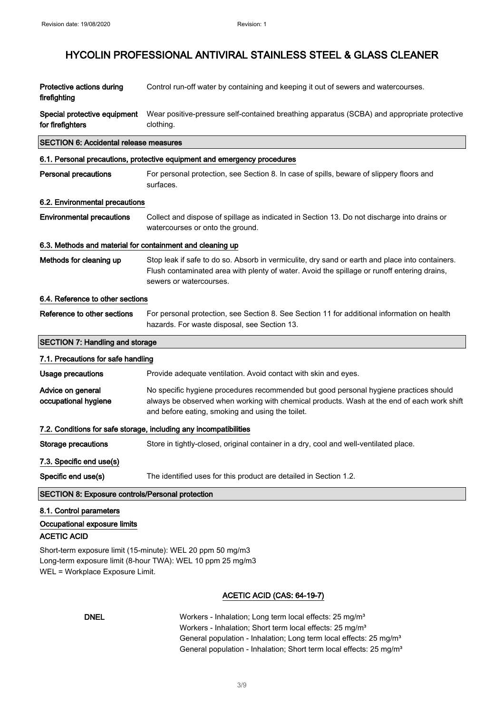| Protective actions during<br>firefighting                                     | Control run-off water by containing and keeping it out of sewers and watercourses.                                                                                                                                                      |
|-------------------------------------------------------------------------------|-----------------------------------------------------------------------------------------------------------------------------------------------------------------------------------------------------------------------------------------|
| Special protective equipment<br>for firefighters                              | Wear positive-pressure self-contained breathing apparatus (SCBA) and appropriate protective<br>clothing.                                                                                                                                |
| <b>SECTION 6: Accidental release measures</b>                                 |                                                                                                                                                                                                                                         |
|                                                                               | 6.1. Personal precautions, protective equipment and emergency procedures                                                                                                                                                                |
| <b>Personal precautions</b>                                                   | For personal protection, see Section 8. In case of spills, beware of slippery floors and<br>surfaces.                                                                                                                                   |
| 6.2. Environmental precautions                                                |                                                                                                                                                                                                                                         |
| <b>Environmental precautions</b>                                              | Collect and dispose of spillage as indicated in Section 13. Do not discharge into drains or<br>watercourses or onto the ground.                                                                                                         |
| 6.3. Methods and material for containment and cleaning up                     |                                                                                                                                                                                                                                         |
| Methods for cleaning up                                                       | Stop leak if safe to do so. Absorb in vermiculite, dry sand or earth and place into containers.<br>Flush contaminated area with plenty of water. Avoid the spillage or runoff entering drains,<br>sewers or watercourses.               |
| 6.4. Reference to other sections                                              |                                                                                                                                                                                                                                         |
| Reference to other sections                                                   | For personal protection, see Section 8. See Section 11 for additional information on health<br>hazards. For waste disposal, see Section 13.                                                                                             |
|                                                                               |                                                                                                                                                                                                                                         |
| <b>SECTION 7: Handling and storage</b>                                        |                                                                                                                                                                                                                                         |
| 7.1. Precautions for safe handling                                            |                                                                                                                                                                                                                                         |
| <b>Usage precautions</b>                                                      | Provide adequate ventilation. Avoid contact with skin and eyes.                                                                                                                                                                         |
| Advice on general<br>occupational hygiene                                     | No specific hygiene procedures recommended but good personal hygiene practices should<br>always be observed when working with chemical products. Wash at the end of each work shift<br>and before eating, smoking and using the toilet. |
|                                                                               | 7.2. Conditions for safe storage, including any incompatibilities                                                                                                                                                                       |
| <b>Storage precautions</b>                                                    | Store in tightly-closed, original container in a dry, cool and well-ventilated place.                                                                                                                                                   |
| 7.3. Specific end use(s)                                                      |                                                                                                                                                                                                                                         |
| Specific end use(s)                                                           | The identified uses for this product are detailed in Section 1.2.                                                                                                                                                                       |
| <b>SECTION 8: Exposure controls/Personal protection</b>                       |                                                                                                                                                                                                                                         |
| 8.1. Control parameters<br>Occupational exposure limits<br><b>ACETIC ACID</b> | Short-term exposure limit (15-minute): WEL 20 ppm 50 mg/m3                                                                                                                                                                              |

### ACETIC ACID (CAS: 64-19-7)

| <b>DNEL</b> | Workers - Inhalation; Long term local effects: 25 mg/m <sup>3</sup>             |
|-------------|---------------------------------------------------------------------------------|
|             | Workers - Inhalation; Short term local effects: 25 mg/m <sup>3</sup>            |
|             | General population - Inhalation; Long term local effects: 25 mg/m <sup>3</sup>  |
|             | General population - Inhalation; Short term local effects: 25 mg/m <sup>3</sup> |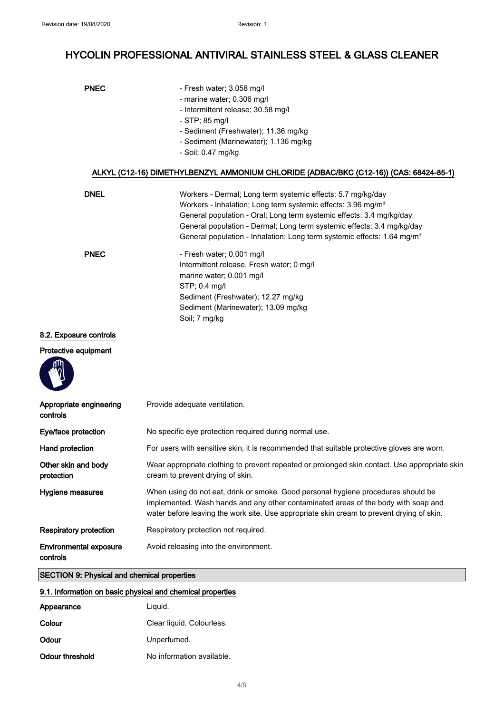| <b>PNEC</b> | - Fresh water; 3.058 mg/l                                                              |
|-------------|----------------------------------------------------------------------------------------|
|             | - marine water; 0.306 mg/l                                                             |
|             | - Intermittent release; 30.58 mg/l                                                     |
|             | $-$ STP; 85 mg/l                                                                       |
|             | - Sediment (Freshwater); 11.36 mg/kg                                                   |
|             | - Sediment (Marinewater); 1.136 mg/kg                                                  |
|             | - Soil; 0.47 mg/kg                                                                     |
|             | ALKYL (C12-16) DIMETHYLBENZYL AMMONIUM CHLORIDE (ADBAC/BKC (C12-16)) (CAS: 68424-85-1) |
| <b>DNEL</b> | Workers - Dermal; Long term systemic effects: 5.7 mg/kg/day                            |
|             | Workers - Inhalation; Long term systemic effects: 3.96 mg/m <sup>3</sup>               |
|             | General population - Oral; Long term systemic effects: 3.4 mg/kg/day                   |
|             | General population - Dermal; Long term systemic effects: 3.4 mg/kg/day                 |
|             | General population - Inhalation; Long term systemic effects: 1.64 mg/m <sup>3</sup>    |
| <b>PNEC</b> | - Fresh water; 0.001 mg/l                                                              |
|             | Intermittent release, Fresh water; 0 mg/l                                              |
|             | marine water; 0.001 mg/l                                                               |
|             |                                                                                        |
|             | $STP$ ; 0.4 mg/l                                                                       |
|             | Sediment (Freshwater); 12.27 mg/kg                                                     |
|             | Sediment (Marinewater); 13.09 mg/kg                                                    |

### 8.2. Exposure controls

### Protective equipment



| Appropriate engineering<br>controls       | Provide adequate ventilation.                                                                                                                                                                                                                                        |
|-------------------------------------------|----------------------------------------------------------------------------------------------------------------------------------------------------------------------------------------------------------------------------------------------------------------------|
| Eye/face protection                       | No specific eye protection required during normal use.                                                                                                                                                                                                               |
| Hand protection                           | For users with sensitive skin, it is recommended that suitable protective gloves are worn.                                                                                                                                                                           |
| Other skin and body<br>protection         | Wear appropriate clothing to prevent repeated or prolonged skin contact. Use appropriate skin<br>cream to prevent drying of skin.                                                                                                                                    |
| Hygiene measures                          | When using do not eat, drink or smoke. Good personal hygiene procedures should be<br>implemented. Wash hands and any other contaminated areas of the body with soap and<br>water before leaving the work site. Use appropriate skin cream to prevent drying of skin. |
| <b>Respiratory protection</b>             | Respiratory protection not required.                                                                                                                                                                                                                                 |
| <b>Environmental exposure</b><br>controls | Avoid releasing into the environment.                                                                                                                                                                                                                                |

## SECTION 9: Physical and chemical properties

| 9.1. Information on basic physical and chemical properties |                           |  |
|------------------------------------------------------------|---------------------------|--|
| Appearance                                                 | Liguid.                   |  |
| Colour                                                     | Clear liquid. Colourless. |  |
| Odour                                                      | Unperfumed.               |  |
| Odour threshold                                            | No information available. |  |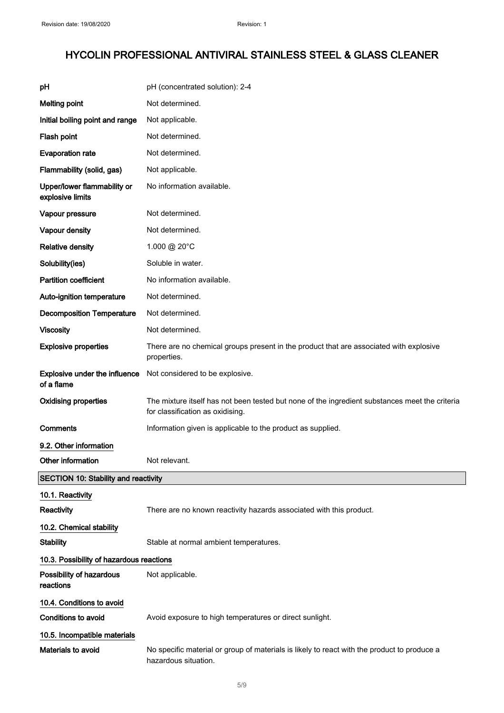| рH                                              | pH (concentrated solution): 2-4                                                                                                    |
|-------------------------------------------------|------------------------------------------------------------------------------------------------------------------------------------|
| <b>Melting point</b>                            | Not determined.                                                                                                                    |
| Initial boiling point and range                 | Not applicable.                                                                                                                    |
| Flash point                                     | Not determined.                                                                                                                    |
| <b>Evaporation rate</b>                         | Not determined.                                                                                                                    |
| Flammability (solid, gas)                       | Not applicable.                                                                                                                    |
| Upper/lower flammability or<br>explosive limits | No information available.                                                                                                          |
| Vapour pressure                                 | Not determined.                                                                                                                    |
| Vapour density                                  | Not determined.                                                                                                                    |
| <b>Relative density</b>                         | 1.000 @ 20°C                                                                                                                       |
| Solubility(ies)                                 | Soluble in water.                                                                                                                  |
| <b>Partition coefficient</b>                    | No information available.                                                                                                          |
| Auto-ignition temperature                       | Not determined.                                                                                                                    |
| <b>Decomposition Temperature</b>                | Not determined.                                                                                                                    |
| <b>Viscosity</b>                                | Not determined.                                                                                                                    |
| <b>Explosive properties</b>                     | There are no chemical groups present in the product that are associated with explosive<br>properties.                              |
| Explosive under the influence<br>of a flame     | Not considered to be explosive.                                                                                                    |
| <b>Oxidising properties</b>                     | The mixture itself has not been tested but none of the ingredient substances meet the criteria<br>for classification as oxidising. |
| Comments                                        | Information given is applicable to the product as supplied.                                                                        |
| 9.2. Other information                          |                                                                                                                                    |
| Other information                               | Not relevant.                                                                                                                      |
| <b>SECTION 10: Stability and reactivity</b>     |                                                                                                                                    |
| 10.1. Reactivity                                |                                                                                                                                    |
| Reactivity                                      | There are no known reactivity hazards associated with this product.                                                                |
| 10.2. Chemical stability                        |                                                                                                                                    |
| <b>Stability</b>                                | Stable at normal ambient temperatures.                                                                                             |
| 10.3. Possibility of hazardous reactions        |                                                                                                                                    |
| Possibility of hazardous<br>reactions           | Not applicable.                                                                                                                    |
| 10.4. Conditions to avoid                       |                                                                                                                                    |
| <b>Conditions to avoid</b>                      | Avoid exposure to high temperatures or direct sunlight.                                                                            |
| 10.5. Incompatible materials                    |                                                                                                                                    |
| Materials to avoid                              | No specific material or group of materials is likely to react with the product to produce a<br>hazardous situation.                |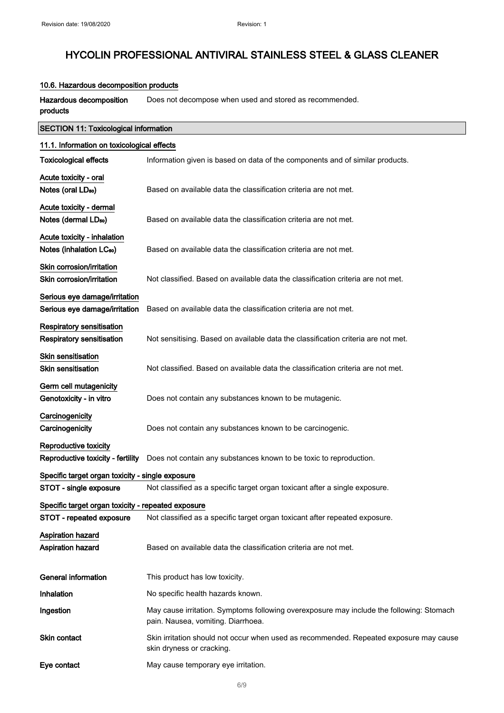### 10.6. Hazardous decomposition products

Hazardous decomposition products Does not decompose when used and stored as recommended.

| <b>SECTION 11: Toxicological information</b>                        |                                                                                                                                |  |
|---------------------------------------------------------------------|--------------------------------------------------------------------------------------------------------------------------------|--|
| 11.1. Information on toxicological effects                          |                                                                                                                                |  |
| <b>Toxicological effects</b>                                        | Information given is based on data of the components and of similar products.                                                  |  |
| Acute toxicity - oral<br>Notes (oral LD <sub>50</sub> )             | Based on available data the classification criteria are not met.                                                               |  |
| Acute toxicity - dermal<br>Notes (dermal LD <sub>50</sub> )         | Based on available data the classification criteria are not met.                                                               |  |
| Acute toxicity - inhalation<br>Notes (inhalation LC <sub>50</sub> ) | Based on available data the classification criteria are not met.                                                               |  |
| Skin corrosion/irritation<br>Skin corrosion/irritation              | Not classified. Based on available data the classification criteria are not met.                                               |  |
| Serious eye damage/irritation<br>Serious eye damage/irritation      | Based on available data the classification criteria are not met.                                                               |  |
| Respiratory sensitisation<br><b>Respiratory sensitisation</b>       | Not sensitising. Based on available data the classification criteria are not met.                                              |  |
| <b>Skin sensitisation</b><br><b>Skin sensitisation</b>              | Not classified. Based on available data the classification criteria are not met.                                               |  |
| Germ cell mutagenicity<br>Genotoxicity - in vitro                   | Does not contain any substances known to be mutagenic.                                                                         |  |
| Carcinogenicity<br>Carcinogenicity                                  | Does not contain any substances known to be carcinogenic.                                                                      |  |
| Reproductive toxicity<br>Reproductive toxicity - fertility          | Does not contain any substances known to be toxic to reproduction.                                                             |  |
| Specific target organ toxicity - single exposure                    |                                                                                                                                |  |
| STOT - single exposure                                              | Not classified as a specific target organ toxicant after a single exposure.                                                    |  |
| Specific target organ toxicity - repeated exposure                  |                                                                                                                                |  |
| STOT - repeated exposure                                            | Not classified as a specific target organ toxicant after repeated exposure.                                                    |  |
| <b>Aspiration hazard</b><br>Aspiration hazard                       | Based on available data the classification criteria are not met.                                                               |  |
| <b>General information</b>                                          | This product has low toxicity.                                                                                                 |  |
| <b>Inhalation</b>                                                   | No specific health hazards known.                                                                                              |  |
| Ingestion                                                           | May cause irritation. Symptoms following overexposure may include the following: Stomach<br>pain. Nausea, vomiting. Diarrhoea. |  |
| <b>Skin contact</b>                                                 | Skin irritation should not occur when used as recommended. Repeated exposure may cause<br>skin dryness or cracking.            |  |
| Eye contact                                                         | May cause temporary eye irritation.                                                                                            |  |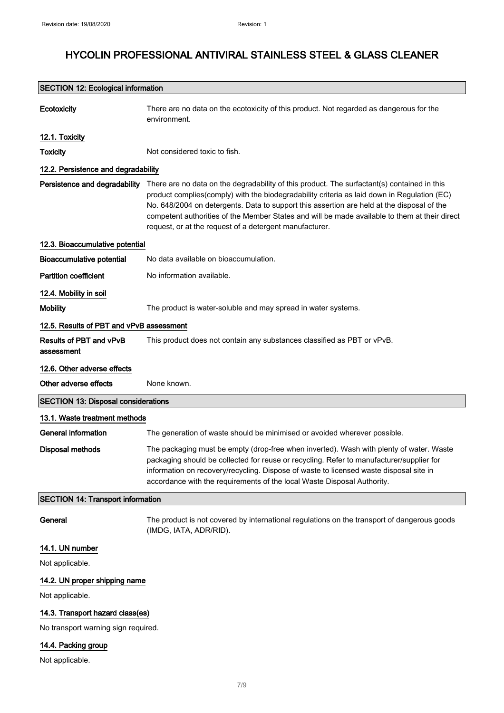| <b>SECTION 12: Ecological information</b>    |                                                                                                                                                                                                                                                                                                                                                                                                                                                      |  |
|----------------------------------------------|------------------------------------------------------------------------------------------------------------------------------------------------------------------------------------------------------------------------------------------------------------------------------------------------------------------------------------------------------------------------------------------------------------------------------------------------------|--|
| Ecotoxicity                                  | There are no data on the ecotoxicity of this product. Not regarded as dangerous for the<br>environment.                                                                                                                                                                                                                                                                                                                                              |  |
| 12.1. Toxicity                               |                                                                                                                                                                                                                                                                                                                                                                                                                                                      |  |
| <b>Toxicity</b>                              | Not considered toxic to fish.                                                                                                                                                                                                                                                                                                                                                                                                                        |  |
| 12.2. Persistence and degradability          |                                                                                                                                                                                                                                                                                                                                                                                                                                                      |  |
| Persistence and degradability                | There are no data on the degradability of this product. The surfactant(s) contained in this<br>product complies(comply) with the biodegradability criteria as laid down in Regulation (EC)<br>No. 648/2004 on detergents. Data to support this assertion are held at the disposal of the<br>competent authorities of the Member States and will be made available to them at their direct<br>request, or at the request of a detergent manufacturer. |  |
| 12.3. Bioaccumulative potential              |                                                                                                                                                                                                                                                                                                                                                                                                                                                      |  |
| <b>Bioaccumulative potential</b>             | No data available on bioaccumulation.                                                                                                                                                                                                                                                                                                                                                                                                                |  |
| <b>Partition coefficient</b>                 | No information available.                                                                                                                                                                                                                                                                                                                                                                                                                            |  |
| 12.4. Mobility in soil                       |                                                                                                                                                                                                                                                                                                                                                                                                                                                      |  |
| <b>Mobility</b>                              | The product is water-soluble and may spread in water systems.                                                                                                                                                                                                                                                                                                                                                                                        |  |
| 12.5. Results of PBT and vPvB assessment     |                                                                                                                                                                                                                                                                                                                                                                                                                                                      |  |
| <b>Results of PBT and vPvB</b><br>assessment | This product does not contain any substances classified as PBT or vPvB.                                                                                                                                                                                                                                                                                                                                                                              |  |
| 12.6. Other adverse effects                  |                                                                                                                                                                                                                                                                                                                                                                                                                                                      |  |
| Other adverse effects                        | None known.                                                                                                                                                                                                                                                                                                                                                                                                                                          |  |
| <b>SECTION 13: Disposal considerations</b>   |                                                                                                                                                                                                                                                                                                                                                                                                                                                      |  |
| 13.1. Waste treatment methods                |                                                                                                                                                                                                                                                                                                                                                                                                                                                      |  |
| <b>General information</b>                   | The generation of waste should be minimised or avoided wherever possible.                                                                                                                                                                                                                                                                                                                                                                            |  |
| <b>Disposal methods</b>                      | The packaging must be empty (drop-free when inverted). Wash with plenty of water. Waste<br>packaging should be collected for reuse or recycling. Refer to manufacturer/supplier for<br>information on recovery/recycling. Dispose of waste to licensed waste disposal site in<br>accordance with the requirements of the local Waste Disposal Authority.                                                                                             |  |
| <b>SECTION 14: Transport information</b>     |                                                                                                                                                                                                                                                                                                                                                                                                                                                      |  |
| General                                      | The product is not covered by international regulations on the transport of dangerous goods<br>(IMDG, IATA, ADR/RID).                                                                                                                                                                                                                                                                                                                                |  |
| 14.1. UN number                              |                                                                                                                                                                                                                                                                                                                                                                                                                                                      |  |
| Not applicable.                              |                                                                                                                                                                                                                                                                                                                                                                                                                                                      |  |
| 14.2. UN proper shipping name                |                                                                                                                                                                                                                                                                                                                                                                                                                                                      |  |
| Not applicable.                              |                                                                                                                                                                                                                                                                                                                                                                                                                                                      |  |
| 14.3. Transport hazard class(es)             |                                                                                                                                                                                                                                                                                                                                                                                                                                                      |  |

No transport warning sign required.

### 14.4. Packing group

Not applicable.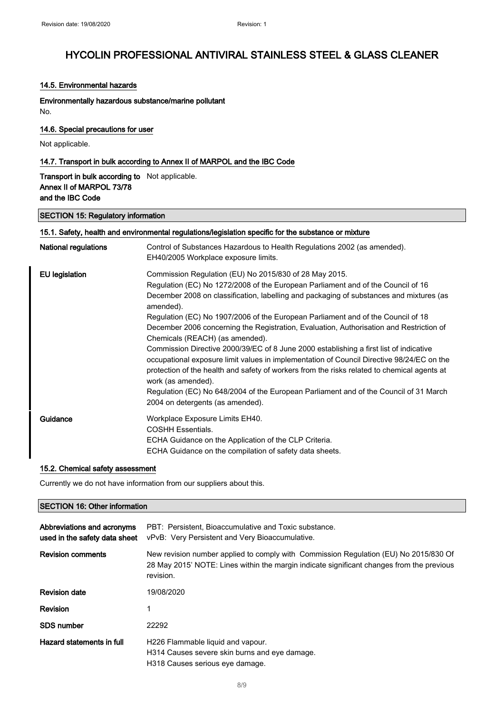#### 14.5. Environmental hazards

Environmentally hazardous substance/marine pollutant No.

### 14.6. Special precautions for user

Not applicable.

### 14.7. Transport in bulk according to Annex II of MARPOL and the IBC Code

### Transport in bulk according to Not applicable. Annex II of MARPOL 73/78 and the IBC Code

### SECTION 15: Regulatory information

| <b>National regulations</b> | Control of Substances Hazardous to Health Regulations 2002 (as amended).                                                                                                                                                                                                                                 |
|-----------------------------|----------------------------------------------------------------------------------------------------------------------------------------------------------------------------------------------------------------------------------------------------------------------------------------------------------|
|                             | EH40/2005 Workplace exposure limits.                                                                                                                                                                                                                                                                     |
| <b>EU</b> legislation       | Commission Regulation (EU) No 2015/830 of 28 May 2015.                                                                                                                                                                                                                                                   |
|                             | Regulation (EC) No 1272/2008 of the European Parliament and of the Council of 16                                                                                                                                                                                                                         |
|                             | December 2008 on classification, labelling and packaging of substances and mixtures (as<br>amended).                                                                                                                                                                                                     |
|                             | Regulation (EC) No 1907/2006 of the European Parliament and of the Council of 18                                                                                                                                                                                                                         |
|                             | December 2006 concerning the Registration, Evaluation, Authorisation and Restriction of<br>Chemicals (REACH) (as amended).                                                                                                                                                                               |
|                             | Commission Directive 2000/39/EC of 8 June 2000 establishing a first list of indicative<br>occupational exposure limit values in implementation of Council Directive 98/24/EC on the<br>protection of the health and safety of workers from the risks related to chemical agents at<br>work (as amended). |
|                             | Regulation (EC) No 648/2004 of the European Parliament and of the Council of 31 March<br>2004 on detergents (as amended).                                                                                                                                                                                |
| Guidance                    | Workplace Exposure Limits EH40.<br><b>COSHH Essentials.</b><br>ECHA Guidance on the Application of the CLP Criteria.<br>ECHA Guidance on the compilation of safety data sheets.                                                                                                                          |

#### 15.2. Chemical safety assessment

Currently we do not have information from our suppliers about this.

### SECTION 16: Other information

| Abbreviations and acronyms<br>used in the safety data sheet | PBT: Persistent, Bioaccumulative and Toxic substance.<br>vPvB: Very Persistent and Very Bioaccumulative.                                                                                       |
|-------------------------------------------------------------|------------------------------------------------------------------------------------------------------------------------------------------------------------------------------------------------|
| <b>Revision comments</b>                                    | New revision number applied to comply with Commission Regulation (EU) No 2015/830 Of<br>28 May 2015' NOTE: Lines within the margin indicate significant changes from the previous<br>revision. |
| <b>Revision date</b>                                        | 19/08/2020                                                                                                                                                                                     |
| Revision                                                    | 1                                                                                                                                                                                              |
| <b>SDS number</b>                                           | 22292                                                                                                                                                                                          |
| Hazard statements in full                                   | H226 Flammable liquid and vapour.<br>H314 Causes severe skin burns and eye damage.<br>H318 Causes serious eye damage.                                                                          |